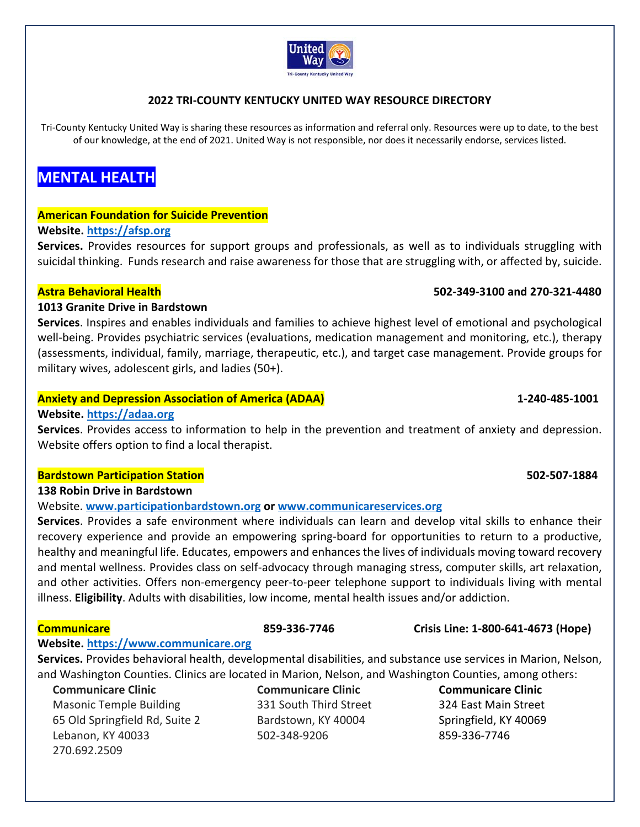

## **2022 TRI‐COUNTY KENTUCKY UNITED WAY RESOURCE DIRECTORY**

Tri-County Kentucky United Way is sharing these resources as information and referral only. Resources were up to date, to the best of our knowledge, at the end of 2021. United Way is not responsible, nor does it necessarily endorse, services listed.

# **MENTAL HEALTH**

### **American Foundation for Suicide Prevention**

### **Website. https://afsp.org**

Services. Provides resources for support groups and professionals, as well as to individuals struggling with suicidal thinking. Funds research and raise awareness for those that are struggling with, or affected by, suicide.

## **Astra Behavioral Health 502‐349‐3100 and 270‐321‐4480**

### **1013 Granite Drive in Bardstown**

**Services**. Inspires and enables individuals and families to achieve highest level of emotional and psychological well-being. Provides psychiatric services (evaluations, medication management and monitoring, etc.), therapy (assessments, individual, family, marriage, therapeutic, etc.), and target case management. Provide groups for military wives, adolescent girls, and ladies (50+).

### **Anxiety and Depression Association of America (ADAA) 1‐240‐485‐1001**

### **Website. https://adaa.org**

**Services**. Provides access to information to help in the prevention and treatment of anxiety and depression. Website offers option to find a local therapist.

### **Bardstown Participation Station 502‐507‐1884**

### **138 Robin Drive in Bardstown**

Website. **www.participationbardstown.org or www.communicareservices.org**

**Services**. Provides a safe environment where individuals can learn and develop vital skills to enhance their recovery experience and provide an empowering spring-board for opportunities to return to a productive, healthy and meaningful life. Educates, empowers and enhances the lives of individuals moving toward recovery and mental wellness. Provides class on self‐advocacy through managing stress, computer skills, art relaxation, and other activities. Offers non-emergency peer-to-peer telephone support to individuals living with mental illness. **Eligibility**. Adults with disabilities, low income, mental health issues and/or addiction.

## **Website. https://www.communicare.org**

**Services.** Provides behavioral health, developmental disabilities, and substance use services in Marion, Nelson, and Washington Counties. Clinics are located in Marion, Nelson, and Washington Counties, among others:

### **Communicare Clinic**

 Masonic Temple Building 65 Old Springfield Rd, Suite 2 Lebanon, KY 40033 270.692.2509

**Communicare Clinic** 331 South Third Street Bardstown, KY 40004 502‐348‐9206

**Communicare Clinic**  324 East Main Street Springfield, KY 40069 859‐336‐7746

## **Communicare 859‐336‐7746 Crisis Line: 1‐800‐641‐4673 (Hope)**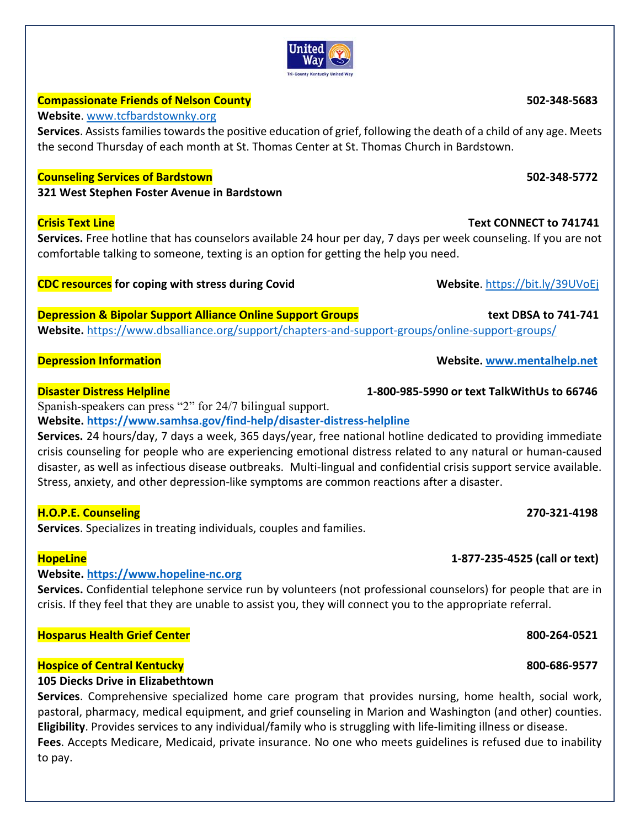# **Compassionate Friends of Nelson County 502‐348‐5683**

**Website**. www.tcfbardstownky.org

**Services**. Assists families towards the positive education of grief, following the death of a child of any age. Meets the second Thursday of each month at St. Thomas Center at St. Thomas Church in Bardstown.

United Wav **Tri-County Kentucky United Way** 

## **Counseling Services of Bardstown 502‐348‐5772**

**321 West Stephen Foster Avenue in Bardstown** 

**Services.** Free hotline that has counselors available 24 hour per day, 7 days per week counseling. If you are not comfortable talking to someone, texting is an option for getting the help you need.

# **CDC resources for coping with stress during Covid Website**. https://bit.ly/39UVoEj

**Depression & Bipolar Support Alliance Online Support Groups text DBSA to 741‐741 Website.** https://www.dbsalliance.org/support/chapters‐and‐support‐groups/online‐support‐groups/

Spanish-speakers can press "2" for 24/7 bilingual support.

**Website. https://www.samhsa.gov/find‐help/disaster‐distress‐helpline**

**Services.** 24 hours/day, 7 days a week, 365 days/year, free national hotline dedicated to providing immediate crisis counseling for people who are experiencing emotional distress related to any natural or human‐caused disaster, as well as infectious disease outbreaks. Multi‐lingual and confidential crisis support service available. Stress, anxiety, and other depression‐like symptoms are common reactions after a disaster.

# **H.O.P.E. Counseling 270‐321‐4198**

**Services**. Specializes in treating individuals, couples and families.

# **Website. https://www.hopeline‐nc.org**

**Services.** Confidential telephone service run by volunteers (not professional counselors) for people that are in crisis. If they feel that they are unable to assist you, they will connect you to the appropriate referral.

# **Hosparus Health Grief Center 800‐264‐0521**

# **Hospice of Central Kentucky 800‐686‐9577**

# **105 Diecks Drive in Elizabethtown**

**Services**. Comprehensive specialized home care program that provides nursing, home health, social work, pastoral, pharmacy, medical equipment, and grief counseling in Marion and Washington (and other) counties. **Eligibility**. Provides services to any individual/family who is struggling with life‐limiting illness or disease.

**Fees**. Accepts Medicare, Medicaid, private insurance. No one who meets guidelines is refused due to inability to pay.

**Depression Information Website. www.mentalhelp.net**

# **Disaster Distress Helpline 1‐800‐985‐5990 or text TalkWithUs to 66746**

# **HopeLine 1‐877‐235‐4525 (call or text)**

**Crisis Text Line Text CONNECT to 741741**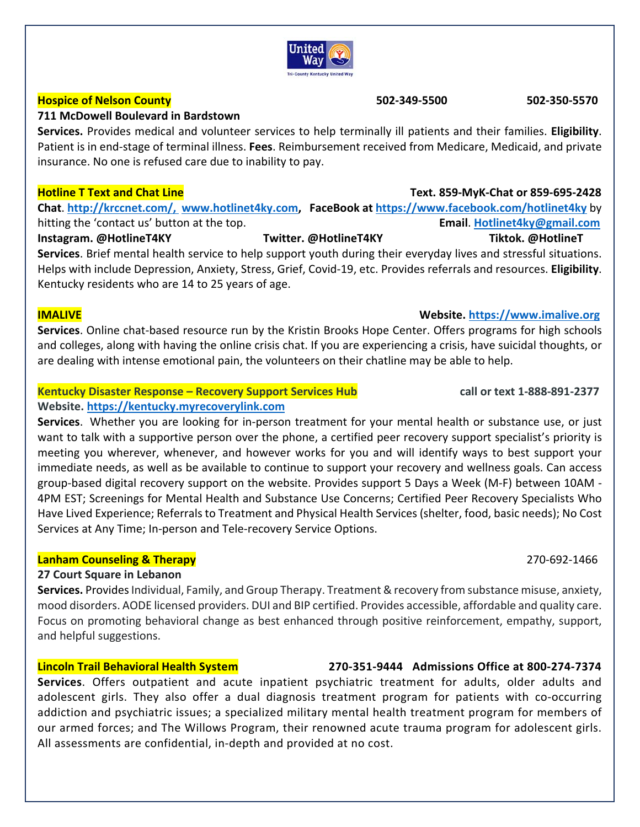**Services.** Provides medical and volunteer services to help terminally ill patients and their families. **Eligibility**.

### **Hotline T Text and Chat Line Text. 859‐MyK‐Chat or 859‐695‐2428**

**Chat**. **http://krccnet.com/, www.hotlinet4ky.com, FaceBook at https://www.facebook.com/hotlinet4ky** by hitting the 'contact us' button at the top. **Email**. **Hotlinet4ky@gmail.com**

**Instagram. @HotlineT4KY Twitter. @HotlineT4KY Tiktok. @HotlineT Services**. Brief mental health service to help support youth during their everyday lives and stressful situations. Helps with include Depression, Anxiety, Stress, Grief, Covid‐19, etc. Provides referrals and resources. **Eligibility**. Kentucky residents who are 14 to 25 years of age.

**IMALIVE Website. https://www.imalive.org Services**. Online chat-based resource run by the Kristin Brooks Hope Center. Offers programs for high schools and colleges, along with having the online crisis chat. If you are experiencing a crisis, have suicidal thoughts, or are dealing with intense emotional pain, the volunteers on their chatline may be able to help.

### **Kentucky Disaster Response – Recovery Support Services Hub call or text 1‐888‐891‐2377 Website. https://kentucky.myrecoverylink.com**

**Services**. Whether you are looking for in‐person treatment for your mental health or substance use, or just want to talk with a supportive person over the phone, a certified peer recovery support specialist's priority is meeting you wherever, whenever, and however works for you and will identify ways to best support your immediate needs, as well as be available to continue to support your recovery and wellness goals. Can access group‐based digital recovery support on the website. Provides support 5 Days a Week (M‐F) between 10AM ‐ 4PM EST; Screenings for Mental Health and Substance Use Concerns; Certified Peer Recovery Specialists Who Have Lived Experience; Referrals to Treatment and Physical Health Services (shelter, food, basic needs); No Cost Services at Any Time; In‐person and Tele‐recovery Service Options.

# **Lanham Counseling & Therapy**  270‐692‐1466

# **27 Court Square in Lebanon**

**Services.** Provides Individual, Family, and Group Therapy. Treatment & recovery from substance misuse, anxiety, mood disorders. AODE licensed providers. DUI and BIP certified. Provides accessible, affordable and quality care. Focus on promoting behavioral change as best enhanced through positive reinforcement, empathy, support, and helpful suggestions.

# **Lincoln Trail Behavioral Health System 270‐351‐9444 Admissions Office at 800‐274‐7374**

**Services**. Offers outpatient and acute inpatient psychiatric treatment for adults, older adults and adolescent girls. They also offer a dual diagnosis treatment program for patients with co-occurring addiction and psychiatric issues; a specialized military mental health treatment program for members of our armed forces; and The Willows Program, their renowned acute trauma program for adolescent girls. All assessments are confidential, in‐depth and provided at no cost.

### **Hospice of Nelson County 502‐349‐5500 502‐350‐5570**

# **711 McDowell Boulevard in Bardstown**

Patient is in end‐stage of terminal illness. **Fees**. Reimbursement received from Medicare, Medicaid, and private insurance. No one is refused care due to inability to pay.



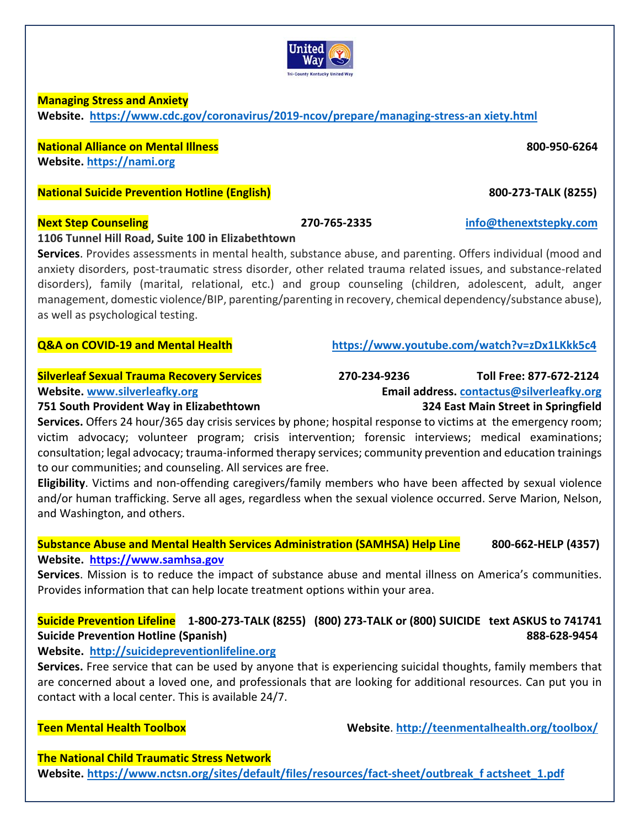**Next Step Counseling 270‐765‐2335 info@thenextstepky.com**

anxiety disorders, post-traumatic stress disorder, other related trauma related issues, and substance-related disorders), family (marital, relational, etc.) and group counseling (children, adolescent, adult, anger management, domestic violence/BIP, parenting/parenting in recovery, chemical dependency/substance abuse), as well as psychological testing. **Q&A on COVID‐19 and Mental Health https://www.youtube.com/watch?v=zDx1LKkk5c4**

**751 South Provident Way in Elizabethtown 324 East Main Street in Springfield** 

**Services.** Offers 24 hour/365 day crisis services by phone; hospital response to victims at the emergency room; victim advocacy; volunteer program; crisis intervention; forensic interviews; medical examinations; consultation; legal advocacy; trauma‐informed therapy services; community prevention and education trainings to our communities; and counseling. All services are free.

**Eligibility**. Victims and non‐offending caregivers/family members who have been affected by sexual violence and/or human trafficking. Serve all ages, regardless when the sexual violence occurred. Serve Marion, Nelson, and Washington, and others.

### **Substance Abuse and Mental Health Services Administration (SAMHSA) Help Line 800‐662‐HELP (4357) Website. https://www.samhsa.gov**

**Services**. Mission is to reduce the impact of substance abuse and mental illness on America's communities. Provides information that can help locate treatment options within your area.

# **Suicide Prevention Lifeline 1‐800‐273‐TALK (8255) (800) 273‐TALK or (800) SUICIDE text ASKUS to 741741 Suicide Prevention Hotline (Spanish) 888‐628‐9454**

# **Website. http://suicidepreventionlifeline.org**

**Services.** Free service that can be used by anyone that is experiencing suicidal thoughts, family members that are concerned about a loved one, and professionals that are looking for additional resources. Can put you in contact with a local center. This is available 24/7.

**Teen Mental Health Toolbox Website**. **http://teenmentalhealth.org/toolbox/**

**The National Child Traumatic Stress Network** 

Website. https://www.nctsn.org/sites/default/files/resources/fact-sheet/outbreak\_f actsheet\_1.pdf

### **Managing Stress and Anxiety Website. https://www.cdc.gov/coronavirus/2019‐ncov/prepare/managing‐stress‐an xiety.html**

**National Alliance on Mental Illness 800‐950‐6264 Website. https://nami.org**

**National Suicide Prevention Hotline (English) 800-273-TALK (8255)** 

## **1106 Tunnel Hill Road, Suite 100 in Elizabethtown**

**Silverleaf Sexual Trauma Recovery Services 270‐234‐9236 Toll Free: 877‐672‐2124 Website. www.silverleafky.org Email address. contactus@silverleafky.org**

**Services**. Provides assessments in mental health, substance abuse, and parenting. Offers individual (mood and

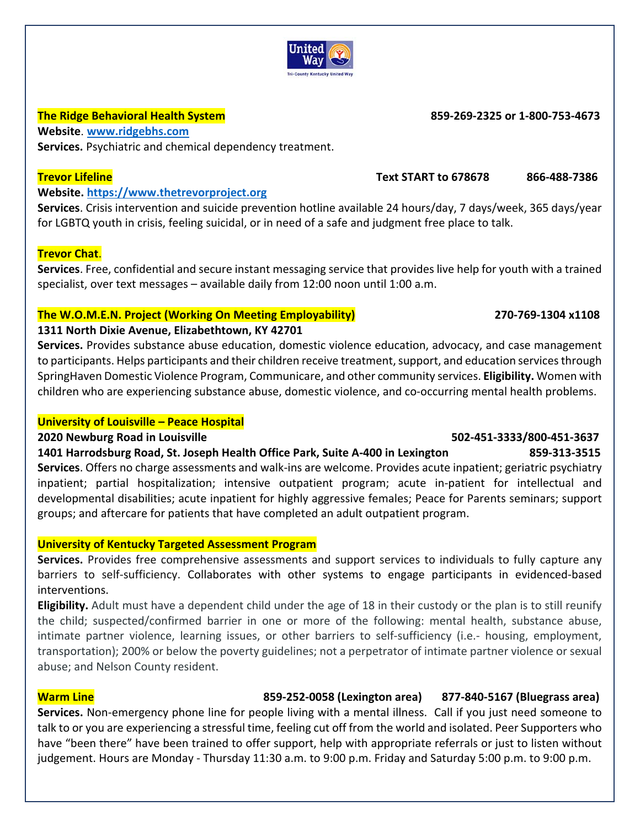

## **The Ridge Behavioral Health System 859‐269‐2325 or 1‐800‐753‐4673**

**Website**. **www.ridgebhs.com Services.** Psychiatric and chemical dependency treatment. 

## **Website. https://www.thetrevorproject.org**

**Services**. Crisis intervention and suicide prevention hotline available 24 hours/day, 7 days/week, 365 days/year for LGBTQ youth in crisis, feeling suicidal, or in need of a safe and judgment free place to talk.

## **Trevor Chat**.

**Services**. Free, confidential and secure instant messaging service that provides live help for youth with a trained specialist, over text messages – available daily from 12:00 noon until 1:00 a.m.

## **The W.O.M.E.N. Project (Working On Meeting Employability) 270‐769‐1304 x1108**

### **1311 North Dixie Avenue, Elizabethtown, KY 42701**

**Services.** Provides substance abuse education, domestic violence education, advocacy, and case management to participants. Helps participants and their children receive treatment, support, and education services through SpringHaven Domestic Violence Program, Communicare, and other community services. **Eligibility.** Women with children who are experiencing substance abuse, domestic violence, and co‐occurring mental health problems.

## **University of Louisville – Peace Hospital**

### **2020 Newburg Road in Louisville 502‐451‐3333/800‐451‐3637**

**1401 Harrodsburg Road, St. Joseph Health Office Park, Suite A‐400 in Lexington 859‐313‐3515 Services**. Offers no charge assessments and walk‐ins are welcome. Provides acute inpatient; geriatric psychiatry inpatient; partial hospitalization; intensive outpatient program; acute in‐patient for intellectual and developmental disabilities; acute inpatient for highly aggressive females; Peace for Parents seminars; support groups; and aftercare for patients that have completed an adult outpatient program.

## **University of Kentucky Targeted Assessment Program**

**Services.** Provides free comprehensive assessments and support services to individuals to fully capture any barriers to self-sufficiency. Collaborates with other systems to engage participants in evidenced-based interventions.

**Eligibility.** Adult must have a dependent child under the age of 18 in their custody or the plan is to still reunify the child; suspected/confirmed barrier in one or more of the following: mental health, substance abuse, intimate partner violence, learning issues, or other barriers to self-sufficiency (i.e.- housing, employment, transportation); 200% or below the poverty guidelines; not a perpetrator of intimate partner violence or sexual abuse; and Nelson County resident.

## **Warm Line 859‐252‐0058 (Lexington area) 877‐840‐5167 (Bluegrass area)**

**Services.** Non‐emergency phone line for people living with a mental illness. Call if you just need someone to talk to or you are experiencing a stressful time, feeling cut off from the world and isolated. Peer Supporters who have "been there" have been trained to offer support, help with appropriate referrals or just to listen without judgement. Hours are Monday - Thursday 11:30 a.m. to 9:00 p.m. Friday and Saturday 5:00 p.m. to 9:00 p.m.

# **Trevor Lifeline Text START to 678678 866‐488‐7386**